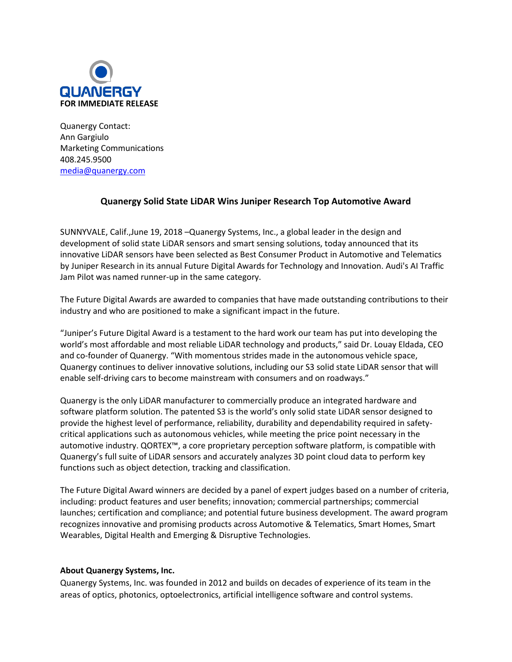

Quanergy Contact: Ann Gargiulo Marketing Communications 408.245.9500 [media@quanergy.com](mailto:media@quanergy.com)

## **Quanergy Solid State LiDAR Wins Juniper Research Top Automotive Award**

SUNNYVALE, Calif.,June 19, 2018 –Quanergy Systems, Inc., a global leader in the design and development of solid state LiDAR sensors and smart sensing solutions, today announced that its innovative LiDAR sensors have been selected as Best Consumer Product in Automotive and Telematics by Juniper Research in its annual Future Digital Awards for Technology and Innovation. Audi's AI Traffic Jam Pilot was named runner-up in the same category.

The Future Digital Awards are awarded to companies that have made outstanding contributions to their industry and who are positioned to make a significant impact in the future.

"Juniper's Future Digital Award is a testament to the hard work our team has put into developing the world's most affordable and most reliable LiDAR technology and products," said Dr. Louay Eldada, CEO and co-founder of Quanergy. "With momentous strides made in the autonomous vehicle space, Quanergy continues to deliver innovative solutions, including our S3 solid state LiDAR sensor that will enable self-driving cars to become mainstream with consumers and on roadways."

Quanergy is the only LiDAR manufacturer to commercially produce an integrated hardware and software platform solution. The patented S3 is the world's only solid state LiDAR sensor designed to provide the highest level of performance, reliability, durability and dependability required in safetycritical applications such as autonomous vehicles, while meeting the price point necessary in the automotive industry. QORTEX™, a core proprietary perception software platform, is compatible with Quanergy's full suite of LiDAR sensors and accurately analyzes 3D point cloud data to perform key functions such as object detection, tracking and classification.

The Future Digital Award winners are decided by a panel of expert judges based on a number of criteria, including: product features and user benefits; innovation; commercial partnerships; commercial launches; certification and compliance; and potential future business development. The award program recognizes innovative and promising products across Automotive & Telematics, Smart Homes, Smart Wearables, Digital Health and Emerging & Disruptive Technologies.

## **About Quanergy Systems, Inc.**

Quanergy Systems, Inc. was founded in 2012 and builds on decades of experience of its team in the areas of optics, photonics, optoelectronics, artificial intelligence software and control systems.